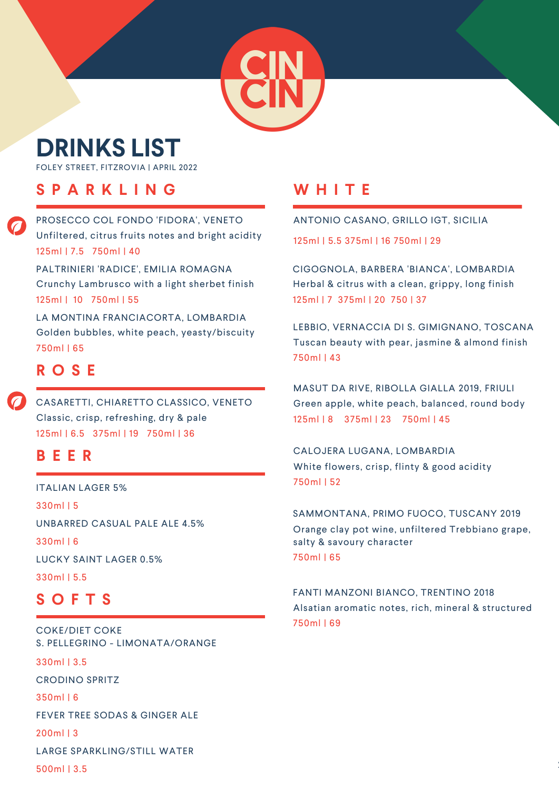# **DRINKS LIST**

FOLEY STREET, FITZROVIA | APRIL 2022

### **S P A R K L I N G**

PROSECCO COL FONDO 'FIDORA', VENETO 125ml | 7.5 750ml | 40 Unfiltered, citrus fruits notes and bright acidity

PALTRINIERI 'RADICE', EMILIA ROMAGNA 125ml | 10 750ml | 55 Crunchy Lambrusco with a light sherbet finish

LA MONTINA FRANCIACORTA, LOMBARDIA 750ml | 65 Golden bubbles, white peach, yeasty/biscuity

### **R O S E**

CASARETTI, CHIARETTO CLASSICO, VENETO 125ml | 6.5 375ml | 19 750ml | 36 Classic, crisp, refreshing, dry & pale

#### **B E E R**

ITALIAN LAGER 5% 330ml | 5 UNBARRED CASUAL PALE ALE 4.5% 330ml | 6 LUCKY SAINT LAGER 0.5% 330ml | 5.5

### **S O F T S**

CRODINO SPRITZ 350ml | 6 FEVER TREE SODAS & GINGER ALE 200ml | 3 COKE/DIET COKE S. PELLEGRINO - LIMONATA/ORANGE 330ml | 3.5 LARGE SPARKLING/STILL WATER 500ml | 3.5

# **W H I T E**

ANTONIO CASANO, GRILLO IGT, SICILIA

125ml | 5.5 375ml | 16 750ml | 29

CIGOGNOLA, BARBERA 'BIANCA', LOMBARDIA 125ml | 7 375ml | 20 750 | 37 Herbal & citrus with a clean, grippy, long finish

LEBBIO, VERNACCIA DI S. GIMIGNANO, TOSCANA 750ml | 43 Tuscan beauty with pear, jasmine & almond finish

MASUT DA RIVE, RIBOLLA GIALLA 2019, FRIULI 125ml | 8 375ml | 23 750ml | 45 Green apple, white peach, balanced, round body

CALOJERA LUGANA, LOMBARDIA 750ml | 52 White flowers, crisp, flinty & good acidity

SAMMONTANA, PRIMO FUOCO, TUSCANY 2019 750ml | 65 Orange clay pot wine, unfiltered Trebbiano grape, salty & savoury character

FANTI MANZONI BIANCO, TRENTINO 2018 750ml | 69 Alsatian aromatic notes, rich, mineral & structured